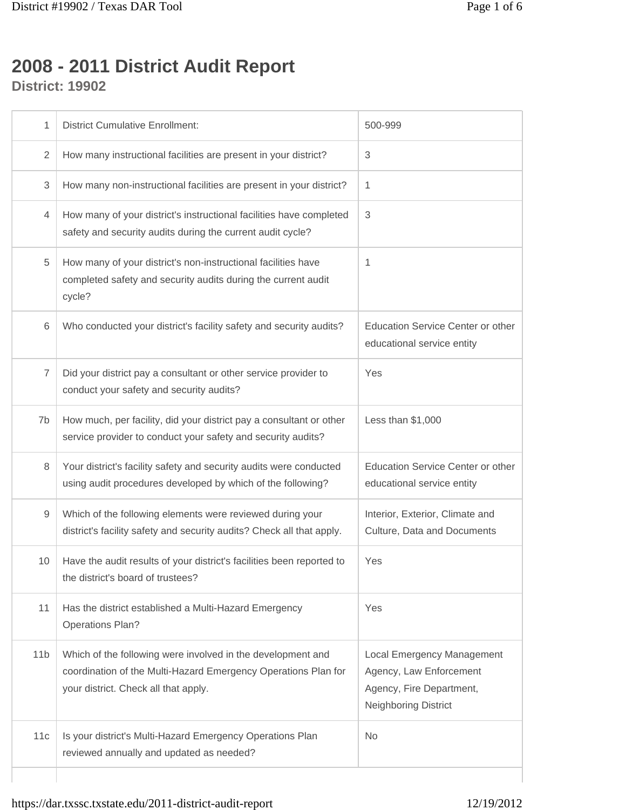## **2008 - 2011 District Audit Report**

**District: 19902**

| 1               | <b>District Cumulative Enrollment:</b>                                                                                                                                | 500-999                                                                                                   |
|-----------------|-----------------------------------------------------------------------------------------------------------------------------------------------------------------------|-----------------------------------------------------------------------------------------------------------|
| $\overline{2}$  | How many instructional facilities are present in your district?                                                                                                       | 3                                                                                                         |
| 3               | How many non-instructional facilities are present in your district?                                                                                                   | 1                                                                                                         |
| 4               | How many of your district's instructional facilities have completed<br>safety and security audits during the current audit cycle?                                     | 3                                                                                                         |
| 5               | How many of your district's non-instructional facilities have<br>completed safety and security audits during the current audit<br>cycle?                              | 1                                                                                                         |
| 6               | Who conducted your district's facility safety and security audits?                                                                                                    | <b>Education Service Center or other</b><br>educational service entity                                    |
| 7               | Did your district pay a consultant or other service provider to<br>conduct your safety and security audits?                                                           | Yes                                                                                                       |
| 7b              | How much, per facility, did your district pay a consultant or other<br>service provider to conduct your safety and security audits?                                   | Less than $$1,000$                                                                                        |
| 8               | Your district's facility safety and security audits were conducted<br>using audit procedures developed by which of the following?                                     | <b>Education Service Center or other</b><br>educational service entity                                    |
| 9               | Which of the following elements were reviewed during your<br>district's facility safety and security audits? Check all that apply.                                    | Interior, Exterior, Climate and<br>Culture, Data and Documents                                            |
| 10              | Have the audit results of your district's facilities been reported to<br>the district's board of trustees?                                                            | Yes                                                                                                       |
| 11              | Has the district established a Multi-Hazard Emergency<br><b>Operations Plan?</b>                                                                                      | Yes                                                                                                       |
| 11 <sub>b</sub> | Which of the following were involved in the development and<br>coordination of the Multi-Hazard Emergency Operations Plan for<br>your district. Check all that apply. | Local Emergency Management<br>Agency, Law Enforcement<br>Agency, Fire Department,<br>Neighboring District |
| 11c             | Is your district's Multi-Hazard Emergency Operations Plan<br>reviewed annually and updated as needed?                                                                 | <b>No</b>                                                                                                 |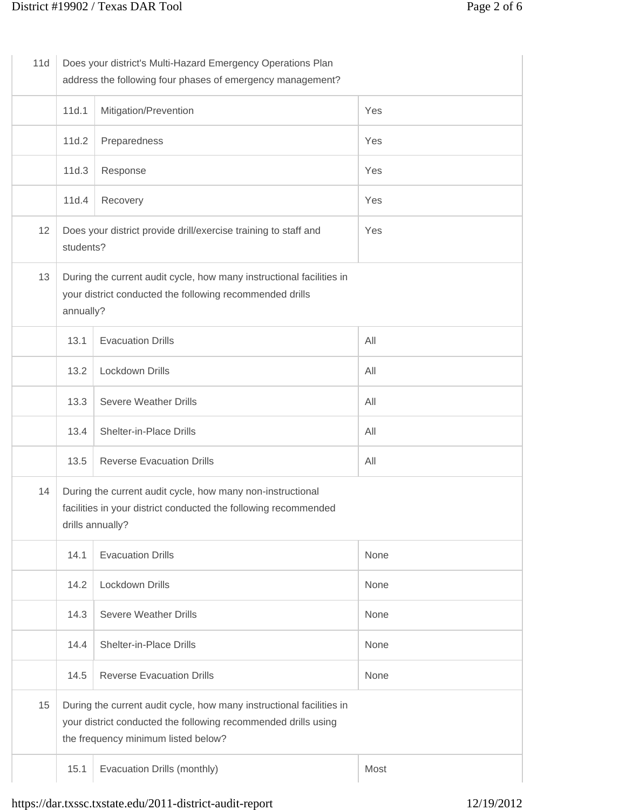| 11d | Does your district's Multi-Hazard Emergency Operations Plan<br>address the following four phases of emergency management?                                                     |                                  |      |
|-----|-------------------------------------------------------------------------------------------------------------------------------------------------------------------------------|----------------------------------|------|
|     | 11d.1                                                                                                                                                                         | Mitigation/Prevention            | Yes  |
|     | 11d.2                                                                                                                                                                         | Preparedness                     | Yes  |
|     | 11d.3                                                                                                                                                                         | Response                         | Yes  |
|     | 11d.4                                                                                                                                                                         | Recovery                         | Yes  |
| 12  | Does your district provide drill/exercise training to staff and<br>Yes<br>students?                                                                                           |                                  |      |
| 13  | During the current audit cycle, how many instructional facilities in<br>your district conducted the following recommended drills<br>annually?                                 |                                  |      |
|     | 13.1                                                                                                                                                                          | <b>Evacuation Drills</b>         | All  |
|     | 13.2                                                                                                                                                                          | Lockdown Drills                  | All  |
|     | 13.3                                                                                                                                                                          | <b>Severe Weather Drills</b>     | All  |
|     | 13.4                                                                                                                                                                          | Shelter-in-Place Drills          | All  |
|     | 13.5                                                                                                                                                                          | <b>Reverse Evacuation Drills</b> | All  |
| 14  | During the current audit cycle, how many non-instructional<br>facilities in your district conducted the following recommended<br>drills annually?                             |                                  |      |
|     | 14.1                                                                                                                                                                          | <b>Evacuation Drills</b>         | None |
|     | 14.2                                                                                                                                                                          | Lockdown Drills                  | None |
|     | 14.3                                                                                                                                                                          | <b>Severe Weather Drills</b>     | None |
|     | 14.4                                                                                                                                                                          | Shelter-in-Place Drills          | None |
|     | 14.5                                                                                                                                                                          | <b>Reverse Evacuation Drills</b> | None |
| 15  | During the current audit cycle, how many instructional facilities in<br>your district conducted the following recommended drills using<br>the frequency minimum listed below? |                                  |      |
|     | 15.1                                                                                                                                                                          | Evacuation Drills (monthly)      | Most |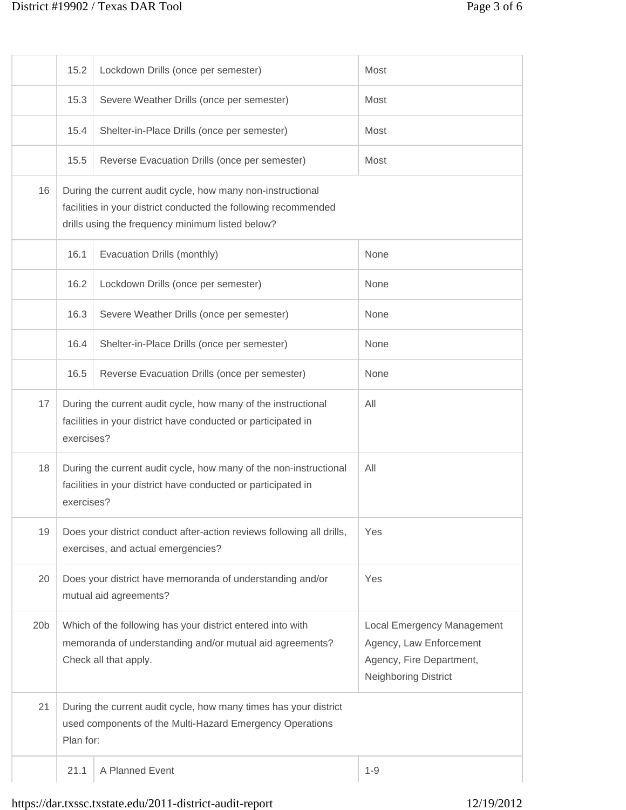## District #19902 / Texas DAR Tool Page 3 of 6

|                 | 15.2                                                                                                                                                                                                                           | Lockdown Drills (once per semester)           | Most                              |
|-----------------|--------------------------------------------------------------------------------------------------------------------------------------------------------------------------------------------------------------------------------|-----------------------------------------------|-----------------------------------|
|                 | 15.3                                                                                                                                                                                                                           | Severe Weather Drills (once per semester)     | Most                              |
|                 | 15.4                                                                                                                                                                                                                           | Shelter-in-Place Drills (once per semester)   | Most                              |
|                 | 15.5                                                                                                                                                                                                                           | Reverse Evacuation Drills (once per semester) | Most                              |
| 16              | During the current audit cycle, how many non-instructional<br>facilities in your district conducted the following recommended<br>drills using the frequency minimum listed below?                                              |                                               |                                   |
|                 | 16.1                                                                                                                                                                                                                           | Evacuation Drills (monthly)                   | None                              |
|                 | 16.2                                                                                                                                                                                                                           | Lockdown Drills (once per semester)           | None                              |
|                 | 16.3                                                                                                                                                                                                                           | Severe Weather Drills (once per semester)     | None                              |
|                 | 16.4                                                                                                                                                                                                                           | Shelter-in-Place Drills (once per semester)   | None                              |
|                 | 16.5                                                                                                                                                                                                                           | Reverse Evacuation Drills (once per semester) | None                              |
| 17              | During the current audit cycle, how many of the instructional<br>All<br>facilities in your district have conducted or participated in<br>exercises?                                                                            |                                               |                                   |
| 18              | During the current audit cycle, how many of the non-instructional<br>All<br>facilities in your district have conducted or participated in<br>exercises?                                                                        |                                               |                                   |
| 19              | Does your district conduct after-action reviews following all drills,<br>Yes<br>exercises, and actual emergencies?                                                                                                             |                                               |                                   |
| 20              | Does your district have memoranda of understanding and/or<br>Yes<br>mutual aid agreements?                                                                                                                                     |                                               |                                   |
| 20 <sub>b</sub> | Which of the following has your district entered into with<br>memoranda of understanding and/or mutual aid agreements?<br>Agency, Law Enforcement<br>Agency, Fire Department,<br>Check all that apply.<br>Neighboring District |                                               | <b>Local Emergency Management</b> |
| 21              | During the current audit cycle, how many times has your district<br>used components of the Multi-Hazard Emergency Operations<br>Plan for:                                                                                      |                                               |                                   |
|                 | 21.1                                                                                                                                                                                                                           | A Planned Event                               | $1 - 9$                           |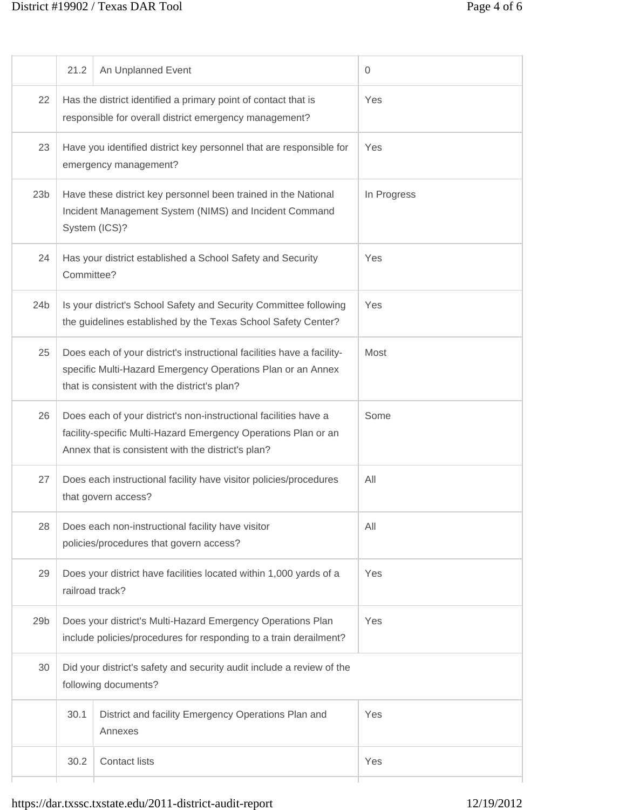## District #19902 / Texas DAR Tool Page 4 of 6

|                 | 21.2                                                                                                                                                                                     | An Unplanned Event                                                                                                                                                                    | $\mathbf{0}$ |
|-----------------|------------------------------------------------------------------------------------------------------------------------------------------------------------------------------------------|---------------------------------------------------------------------------------------------------------------------------------------------------------------------------------------|--------------|
| 22              |                                                                                                                                                                                          | Has the district identified a primary point of contact that is<br>responsible for overall district emergency management?                                                              | Yes          |
| 23              |                                                                                                                                                                                          | Have you identified district key personnel that are responsible for<br>emergency management?                                                                                          | Yes          |
| 23 <sub>b</sub> |                                                                                                                                                                                          | Have these district key personnel been trained in the National<br>Incident Management System (NIMS) and Incident Command<br>System (ICS)?                                             | In Progress  |
| 24              | Committee?                                                                                                                                                                               | Has your district established a School Safety and Security                                                                                                                            | Yes          |
| 24 <sub>b</sub> |                                                                                                                                                                                          | Is your district's School Safety and Security Committee following<br>the guidelines established by the Texas School Safety Center?                                                    | Yes          |
| 25              |                                                                                                                                                                                          | Does each of your district's instructional facilities have a facility-<br>specific Multi-Hazard Emergency Operations Plan or an Annex<br>that is consistent with the district's plan? | Most         |
| 26              | Does each of your district's non-instructional facilities have a<br>facility-specific Multi-Hazard Emergency Operations Plan or an<br>Annex that is consistent with the district's plan? |                                                                                                                                                                                       | Some         |
| 27              | Does each instructional facility have visitor policies/procedures<br>that govern access?                                                                                                 |                                                                                                                                                                                       | All          |
| 28              |                                                                                                                                                                                          | Does each non-instructional facility have visitor<br>policies/procedures that govern access?                                                                                          | All          |
| 29              |                                                                                                                                                                                          | Does your district have facilities located within 1,000 yards of a<br>railroad track?                                                                                                 | Yes          |
| 29 <sub>b</sub> | Does your district's Multi-Hazard Emergency Operations Plan<br>include policies/procedures for responding to a train derailment?                                                         |                                                                                                                                                                                       | Yes          |
| 30              | Did your district's safety and security audit include a review of the<br>following documents?                                                                                            |                                                                                                                                                                                       |              |
|                 | 30.1                                                                                                                                                                                     | District and facility Emergency Operations Plan and<br>Annexes                                                                                                                        | Yes          |
|                 | 30.2                                                                                                                                                                                     | <b>Contact lists</b>                                                                                                                                                                  | Yes          |
|                 |                                                                                                                                                                                          |                                                                                                                                                                                       |              |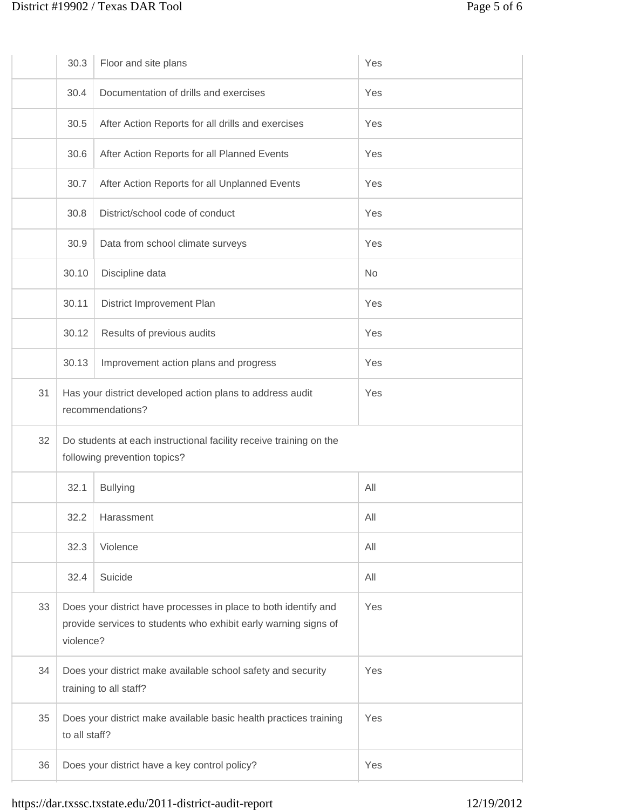## District #19902 / Texas DAR Tool Page 5 of 6

|    | 30.3                                                                                                                                                   | Floor and site plans                              | Yes       |
|----|--------------------------------------------------------------------------------------------------------------------------------------------------------|---------------------------------------------------|-----------|
|    | 30.4                                                                                                                                                   | Documentation of drills and exercises             | Yes       |
|    | 30.5                                                                                                                                                   | After Action Reports for all drills and exercises | Yes       |
|    | 30.6                                                                                                                                                   | After Action Reports for all Planned Events       | Yes       |
|    | 30.7                                                                                                                                                   | After Action Reports for all Unplanned Events     | Yes       |
|    | 30.8                                                                                                                                                   | District/school code of conduct                   | Yes       |
|    | 30.9                                                                                                                                                   | Data from school climate surveys                  | Yes       |
|    | 30.10                                                                                                                                                  | Discipline data                                   | <b>No</b> |
|    | 30.11                                                                                                                                                  | District Improvement Plan                         | Yes       |
|    | 30.12                                                                                                                                                  | Results of previous audits                        | Yes       |
|    | 30.13                                                                                                                                                  | Improvement action plans and progress             | Yes       |
| 31 | Has your district developed action plans to address audit<br>Yes<br>recommendations?                                                                   |                                                   |           |
| 32 | Do students at each instructional facility receive training on the<br>following prevention topics?                                                     |                                                   |           |
|    | 32.1                                                                                                                                                   | <b>Bullying</b>                                   | All       |
|    | 32.2                                                                                                                                                   | Harassment                                        | All       |
|    | 32.3                                                                                                                                                   | Violence                                          | All       |
|    | 32.4                                                                                                                                                   | Suicide                                           | All       |
| 33 | Does your district have processes in place to both identify and<br>Yes<br>provide services to students who exhibit early warning signs of<br>violence? |                                                   |           |
| 34 | Does your district make available school safety and security<br>Yes<br>training to all staff?                                                          |                                                   |           |
| 35 | Does your district make available basic health practices training<br>Yes<br>to all staff?                                                              |                                                   |           |
| 36 | Does your district have a key control policy?<br>Yes                                                                                                   |                                                   |           |